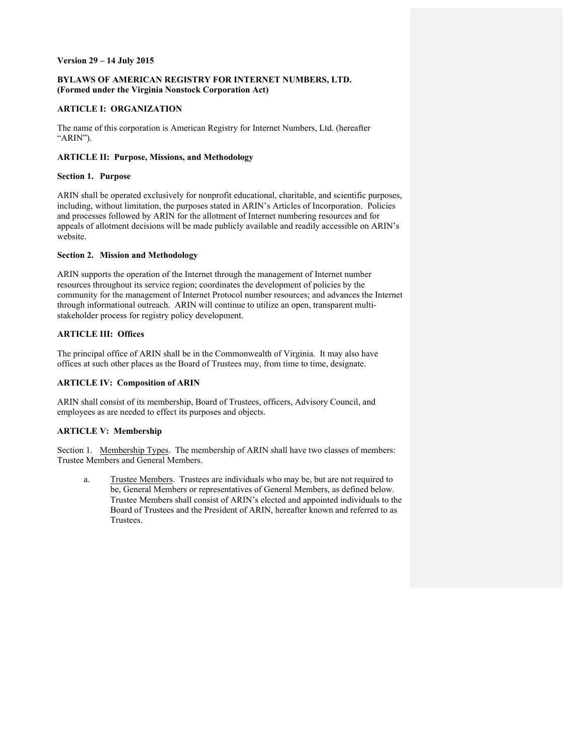### **Version 29 – 14 July 2015**

## **BYLAWS OF AMERICAN REGISTRY FOR INTERNET NUMBERS, LTD. (Formed under the Virginia Nonstock Corporation Act)**

## **ARTICLE I: ORGANIZATION**

The name of this corporation is American Registry for Internet Numbers, Ltd. (hereafter "ARIN").

### **ARTICLE II: Purpose, Missions, and Methodology**

### **Section 1. Purpose**

ARIN shall be operated exclusively for nonprofit educational, charitable, and scientific purposes, including, without limitation, the purposes stated in ARIN's Articles of Incorporation. Policies and processes followed by ARIN for the allotment of Internet numbering resources and for appeals of allotment decisions will be made publicly available and readily accessible on ARIN's website.

# **Section 2. Mission and Methodology**

ARIN supports the operation of the Internet through the management of Internet number resources throughout its service region; coordinates the development of policies by the community for the management of Internet Protocol number resources; and advances the Internet through informational outreach. ARIN will continue to utilize an open, transparent multistakeholder process for registry policy development.

# **ARTICLE III: Offices**

The principal office of ARIN shall be in the Commonwealth of Virginia. It may also have offices at such other places as the Board of Trustees may, from time to time, designate.

# **ARTICLE IV: Composition of ARIN**

ARIN shall consist of its membership, Board of Trustees, officers, Advisory Council, and employees as are needed to effect its purposes and objects.

## **ARTICLE V: Membership**

Section 1. Membership Types. The membership of ARIN shall have two classes of members: Trustee Members and General Members.

a. Trustee Members. Trustees are individuals who may be, but are not required to be, General Members or representatives of General Members, as defined below. Trustee Members shall consist of ARIN's elected and appointed individuals to the Board of Trustees and the President of ARIN, hereafter known and referred to as Trustees.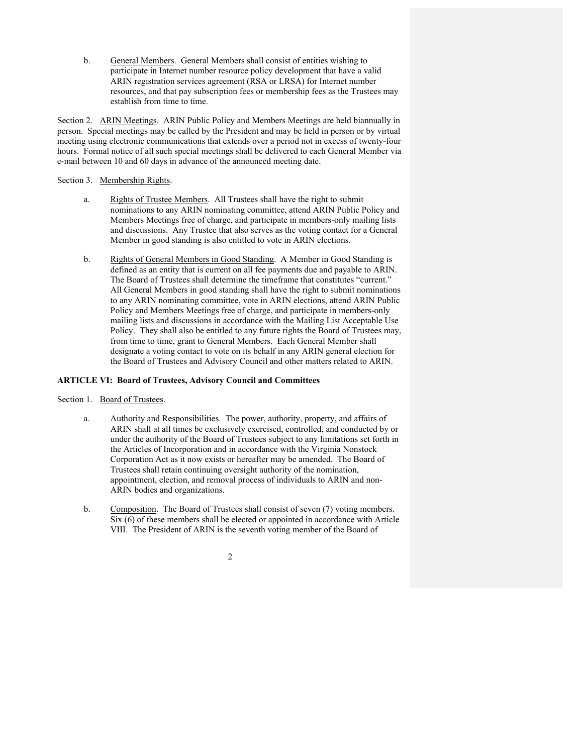b. General Members. General Members shall consist of entities wishing to participate in Internet number resource policy development that have a valid ARIN registration services agreement (RSA or LRSA) for Internet number resources, and that pay subscription fees or membership fees as the Trustees may establish from time to time.

Section 2. ARIN Meetings. ARIN Public Policy and Members Meetings are held biannually in person. Special meetings may be called by the President and may be held in person or by virtual meeting using electronic communications that extends over a period not in excess of twenty-four hours. Formal notice of all such special meetings shall be delivered to each General Member via e-mail between 10 and 60 days in advance of the announced meeting date.

### Section 3. Membership Rights.

- a. Rights of Trustee Members. All Trustees shall have the right to submit nominations to any ARIN nominating committee, attend ARIN Public Policy and Members Meetings free of charge, and participate in members-only mailing lists and discussions. Any Trustee that also serves as the voting contact for a General Member in good standing is also entitled to vote in ARIN elections.
- b. Rights of General Members in Good Standing. A Member in Good Standing is defined as an entity that is current on all fee payments due and payable to ARIN. The Board of Trustees shall determine the timeframe that constitutes "current." All General Members in good standing shall have the right to submit nominations to any ARIN nominating committee, vote in ARIN elections, attend ARIN Public Policy and Members Meetings free of charge, and participate in members-only mailing lists and discussions in accordance with the Mailing List Acceptable Use Policy. They shall also be entitled to any future rights the Board of Trustees may, from time to time, grant to General Members. Each General Member shall designate a voting contact to vote on its behalf in any ARIN general election for the Board of Trustees and Advisory Council and other matters related to ARIN.

## **ARTICLE VI: Board of Trustees, Advisory Council and Committees**

### Section 1. Board of Trustees.

- a. Authority and Responsibilities. The power, authority, property, and affairs of ARIN shall at all times be exclusively exercised, controlled, and conducted by or under the authority of the Board of Trustees subject to any limitations set forth in the Articles of Incorporation and in accordance with the Virginia Nonstock Corporation Act as it now exists or hereafter may be amended. The Board of Trustees shall retain continuing oversight authority of the nomination, appointment, election, and removal process of individuals to ARIN and non-ARIN bodies and organizations.
- b. Composition. The Board of Trustees shall consist of seven (7) voting members. Six (6) of these members shall be elected or appointed in accordance with Article VIII. The President of ARIN is the seventh voting member of the Board of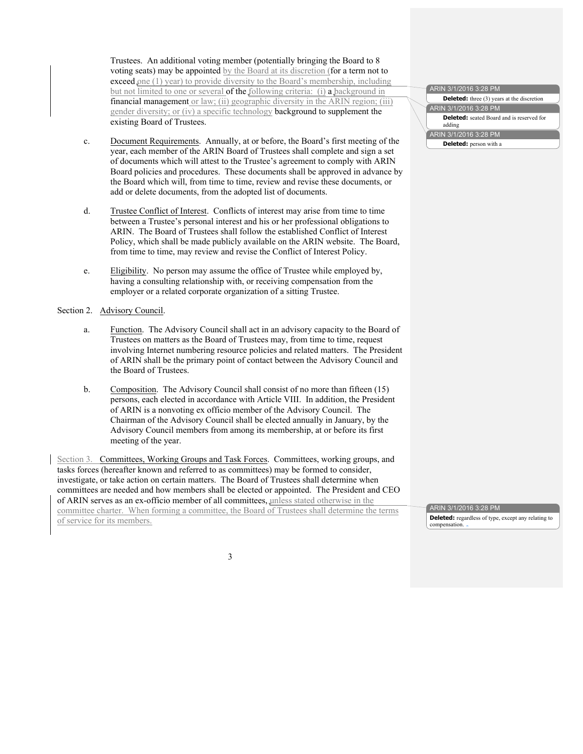Trustees. An additional voting member (potentially bringing the Board to 8 voting seats) may be appointed by the Board at its discretion (for a term not to exceed one (1) year) to provide diversity to the Board's membership, including but not limited to one or several of the following criteria: (i) a background in financial management or law; (ii) geographic diversity in the ARIN region; (iii) gender diversity; or (iv) a specific technology background to supplement the existing Board of Trustees.

- c. Document Requirements. Annually, at or before, the Board's first meeting of the year, each member of the ARIN Board of Trustees shall complete and sign a set of documents which will attest to the Trustee's agreement to comply with ARIN Board policies and procedures. These documents shall be approved in advance by the Board which will, from time to time, review and revise these documents, or add or delete documents, from the adopted list of documents.
- d. Trustee Conflict of Interest. Conflicts of interest may arise from time to time between a Trustee's personal interest and his or her professional obligations to ARIN. The Board of Trustees shall follow the established Conflict of Interest Policy, which shall be made publicly available on the ARIN website. The Board, from time to time, may review and revise the Conflict of Interest Policy.
- e. Eligibility. No person may assume the office of Trustee while employed by, having a consulting relationship with, or receiving compensation from the employer or a related corporate organization of a sitting Trustee.

#### Section 2. Advisory Council.

- a. Function. The Advisory Council shall act in an advisory capacity to the Board of Trustees on matters as the Board of Trustees may, from time to time, request involving Internet numbering resource policies and related matters. The President of ARIN shall be the primary point of contact between the Advisory Council and the Board of Trustees.
- b. Composition. The Advisory Council shall consist of no more than fifteen (15) persons, each elected in accordance with Article VIII. In addition, the President of ARIN is a nonvoting ex officio member of the Advisory Council. The Chairman of the Advisory Council shall be elected annually in January, by the Advisory Council members from among its membership, at or before its first meeting of the year.

Section 3. Committees, Working Groups and Task Forces. Committees, working groups, and tasks forces (hereafter known and referred to as committees) may be formed to consider, investigate, or take action on certain matters. The Board of Trustees shall determine when committees are needed and how members shall be elected or appointed. The President and CEO of ARIN serves as an ex-officio member of all committees, unless stated otherwise in the committee charter. When forming a committee, the Board of Trustees shall determine the terms of service for its members.

#### ARIN 3/1/2016 3:28 PM **Deleted:** three (3) years at the discretion ARIN 3/1/2016 3:28 PM **Deleted:** seated Board and is reserved for adding ARIN 3/1/2016 3:28 PM **Deleted:** person with a

ARIN 3/1/2016 3:28 PM **Deleted:** regardless of type, except any relating to compensation.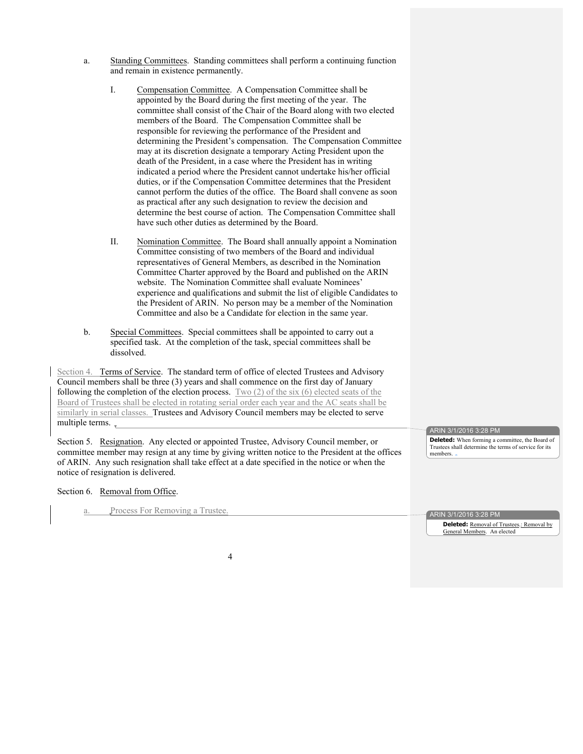- a. Standing Committees. Standing committees shall perform a continuing function and remain in existence permanently.
	- I. Compensation Committee. A Compensation Committee shall be appointed by the Board during the first meeting of the year. The committee shall consist of the Chair of the Board along with two elected members of the Board. The Compensation Committee shall be responsible for reviewing the performance of the President and determining the President's compensation. The Compensation Committee may at its discretion designate a temporary Acting President upon the death of the President, in a case where the President has in writing indicated a period where the President cannot undertake his/her official duties, or if the Compensation Committee determines that the President cannot perform the duties of the office. The Board shall convene as soon as practical after any such designation to review the decision and determine the best course of action. The Compensation Committee shall have such other duties as determined by the Board.
	- II. Nomination Committee. The Board shall annually appoint a Nomination Committee consisting of two members of the Board and individual representatives of General Members, as described in the Nomination Committee Charter approved by the Board and published on the ARIN website. The Nomination Committee shall evaluate Nominees' experience and qualifications and submit the list of eligible Candidates to the President of ARIN. No person may be a member of the Nomination Committee and also be a Candidate for election in the same year.
- b. Special Committees. Special committees shall be appointed to carry out a specified task. At the completion of the task, special committees shall be dissolved.

Section 4. Terms of Service. The standard term of office of elected Trustees and Advisory Council members shall be three (3) years and shall commence on the first day of January following the completion of the election process. Two (2) of the six (6) elected seats of the Board of Trustees shall be elected in rotating serial order each year and the AC seats shall be similarly in serial classes. Trustees and Advisory Council members may be elected to serve multiple terms.

Section 5. Resignation. Any elected or appointed Trustee, Advisory Council member, or committee member may resign at any time by giving written notice to the President at the offices of ARIN. Any such resignation shall take effect at a date specified in the notice or when the notice of resignation is delivered.

ARIN 3/1/2016 3:28 PM **Deleted:** When forming a committee, the Board of Trustees shall determine the terms of service for its

Section 6. Removal from Office.

a. Process For Removing a Trustee.

ARIN 3/1/2016 3:28 PM

members.

**Deleted: Removal of Trustees**: **Removal by** General Members. An elected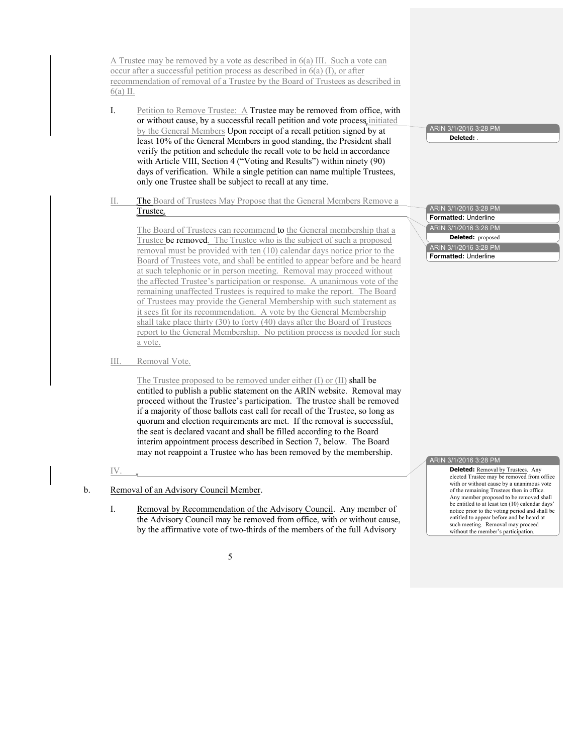A Trustee may be removed by a vote as described in 6(a) III. Such a vote can occur after a successful petition process as described in 6(a) (I), or after recommendation of removal of a Trustee by the Board of Trustees as described in 6(a) II.

- I. Petition to Remove Trustee: A Trustee may be removed from office, with or without cause, by a successful recall petition and vote process initiated by the General Members Upon receipt of a recall petition signed by at least 10% of the General Members in good standing, the President shall verify the petition and schedule the recall vote to be held in accordance with Article VIII, Section 4 ("Voting and Results") within ninety (90) days of verification. While a single petition can name multiple Trustees, only one Trustee shall be subject to recall at any time.
- II. The Board of Trustees May Propose that the General Members Remove a Trustee.

The Board of Trustees can recommend to the General membership that a Trustee be removed. The Trustee who is the subject of such a proposed removal must be provided with ten (10) calendar days notice prior to the Board of Trustees vote, and shall be entitled to appear before and be heard at such telephonic or in person meeting. Removal may proceed without the affected Trustee's participation or response. A unanimous vote of the remaining unaffected Trustees is required to make the report. The Board of Trustees may provide the General Membership with such statement as it sees fit for its recommendation. A vote by the General Membership shall take place thirty (30) to forty (40) days after the Board of Trustees report to the General Membership. No petition process is needed for such a vote.

III. Removal Vote.

The Trustee proposed to be removed under either (I) or (II) shall be entitled to publish a public statement on the ARIN website. Removal may proceed without the Trustee's participation. The trustee shall be removed if a majority of those ballots cast call for recall of the Trustee, so long as quorum and election requirements are met. If the removal is successful, the seat is declared vacant and shall be filled according to the Board interim appointment process described in Section 7, below. The Board may not reappoint a Trustee who has been removed by the membership.

#### IV.

- b. Removal of an Advisory Council Member.
	- I. Removal by Recommendation of the Advisory Council. Any member of the Advisory Council may be removed from office, with or without cause, by the affirmative vote of two-thirds of the members of the full Advisory

ARIN 3/1/2016 3:28 PM **Deleted:** .

ARIN 3/1/2016 3:28 PM **Formatted:** Underline ARIN 3/1/2016 3:28 PM **Formatted:** Underline ARIN 3/1/2016 3:28 PM **Deleted:** proposed

#### ARIN 3/1/2016 3:28 PM

**Deleted:** Removal by Trustees. Any elected Trustee may be removed from office with or without cause by a unanimous vote of the remaining Trustees then in office. Any member proposed to be removed shall be entitled to at least ten (10) calendar days' notice prior to the voting period and shall be entitled to appear before and be heard at such meeting. Removal may proceed without the member's participation.

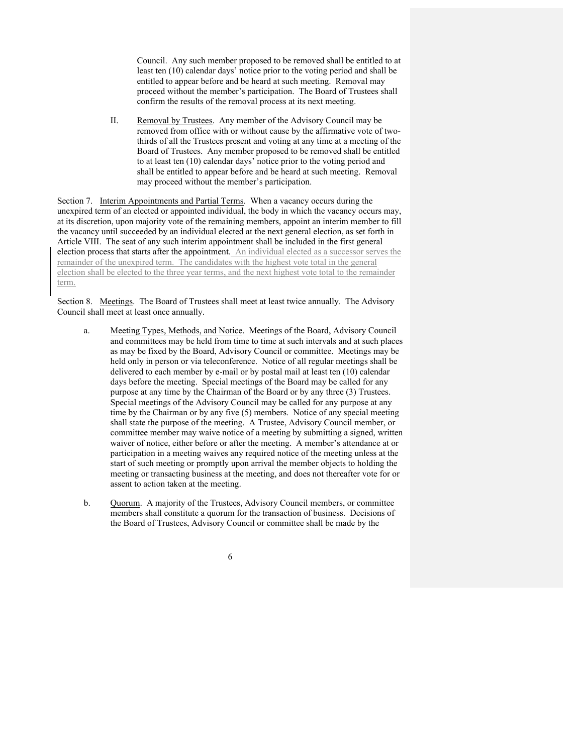Council. Any such member proposed to be removed shall be entitled to at least ten (10) calendar days' notice prior to the voting period and shall be entitled to appear before and be heard at such meeting. Removal may proceed without the member's participation. The Board of Trustees shall confirm the results of the removal process at its next meeting.

II. Removal by Trustees. Any member of the Advisory Council may be removed from office with or without cause by the affirmative vote of twothirds of all the Trustees present and voting at any time at a meeting of the Board of Trustees. Any member proposed to be removed shall be entitled to at least ten (10) calendar days' notice prior to the voting period and shall be entitled to appear before and be heard at such meeting. Removal may proceed without the member's participation.

Section 7. Interim Appointments and Partial Terms. When a vacancy occurs during the unexpired term of an elected or appointed individual, the body in which the vacancy occurs may, at its discretion, upon majority vote of the remaining members, appoint an interim member to fill the vacancy until succeeded by an individual elected at the next general election, as set forth in Article VIII. The seat of any such interim appointment shall be included in the first general election process that starts after the appointment. An individual elected as a successor serves the remainder of the unexpired term. The candidates with the highest vote total in the general election shall be elected to the three year terms, and the next highest vote total to the remainder term.

Section 8. Meetings. The Board of Trustees shall meet at least twice annually. The Advisory Council shall meet at least once annually.

- a. Meeting Types, Methods, and Notice. Meetings of the Board, Advisory Council and committees may be held from time to time at such intervals and at such places as may be fixed by the Board, Advisory Council or committee. Meetings may be held only in person or via teleconference. Notice of all regular meetings shall be delivered to each member by e-mail or by postal mail at least ten (10) calendar days before the meeting. Special meetings of the Board may be called for any purpose at any time by the Chairman of the Board or by any three (3) Trustees. Special meetings of the Advisory Council may be called for any purpose at any time by the Chairman or by any five (5) members. Notice of any special meeting shall state the purpose of the meeting. A Trustee, Advisory Council member, or committee member may waive notice of a meeting by submitting a signed, written waiver of notice, either before or after the meeting. A member's attendance at or participation in a meeting waives any required notice of the meeting unless at the start of such meeting or promptly upon arrival the member objects to holding the meeting or transacting business at the meeting, and does not thereafter vote for or assent to action taken at the meeting.
- b. Quorum. A majority of the Trustees, Advisory Council members, or committee members shall constitute a quorum for the transaction of business. Decisions of the Board of Trustees, Advisory Council or committee shall be made by the
	- 6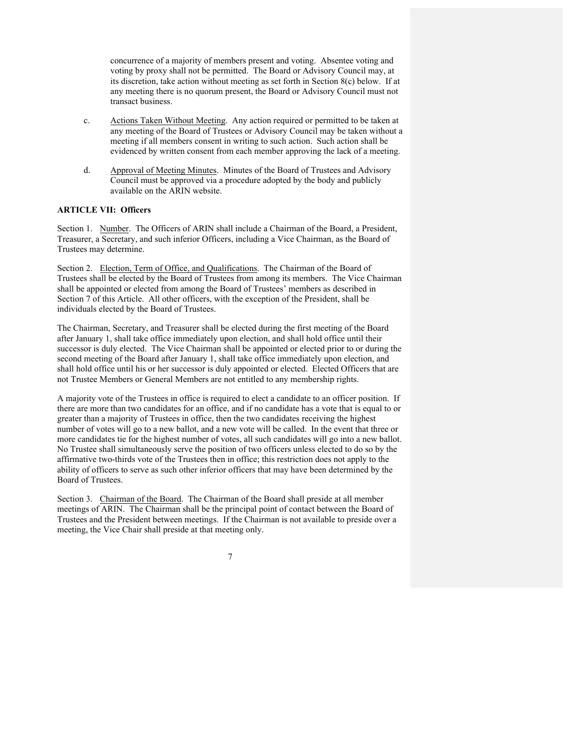concurrence of a majority of members present and voting. Absentee voting and voting by proxy shall not be permitted. The Board or Advisory Council may, at its discretion, take action without meeting as set forth in Section 8(c) below. If at any meeting there is no quorum present, the Board or Advisory Council must not transact business.

- c. Actions Taken Without Meeting. Any action required or permitted to be taken at any meeting of the Board of Trustees or Advisory Council may be taken without a meeting if all members consent in writing to such action. Such action shall be evidenced by written consent from each member approving the lack of a meeting.
- d. Approval of Meeting Minutes. Minutes of the Board of Trustees and Advisory Council must be approved via a procedure adopted by the body and publicly available on the ARIN website.

# **ARTICLE VII: Officers**

Section 1. Number. The Officers of ARIN shall include a Chairman of the Board, a President, Treasurer, a Secretary, and such inferior Officers, including a Vice Chairman, as the Board of Trustees may determine.

Section 2. Election, Term of Office, and Qualifications. The Chairman of the Board of Trustees shall be elected by the Board of Trustees from among its members. The Vice Chairman shall be appointed or elected from among the Board of Trustees' members as described in Section 7 of this Article. All other officers, with the exception of the President, shall be individuals elected by the Board of Trustees.

The Chairman, Secretary, and Treasurer shall be elected during the first meeting of the Board after January 1, shall take office immediately upon election, and shall hold office until their successor is duly elected. The Vice Chairman shall be appointed or elected prior to or during the second meeting of the Board after January 1, shall take office immediately upon election, and shall hold office until his or her successor is duly appointed or elected. Elected Officers that are not Trustee Members or General Members are not entitled to any membership rights.

A majority vote of the Trustees in office is required to elect a candidate to an officer position. If there are more than two candidates for an office, and if no candidate has a vote that is equal to or greater than a majority of Trustees in office, then the two candidates receiving the highest number of votes will go to a new ballot, and a new vote will be called. In the event that three or more candidates tie for the highest number of votes, all such candidates will go into a new ballot. No Trustee shall simultaneously serve the position of two officers unless elected to do so by the affirmative two-thirds vote of the Trustees then in office; this restriction does not apply to the ability of officers to serve as such other inferior officers that may have been determined by the Board of Trustees.

Section 3. Chairman of the Board. The Chairman of the Board shall preside at all member meetings of ARIN. The Chairman shall be the principal point of contact between the Board of Trustees and the President between meetings. If the Chairman is not available to preside over a meeting, the Vice Chair shall preside at that meeting only.

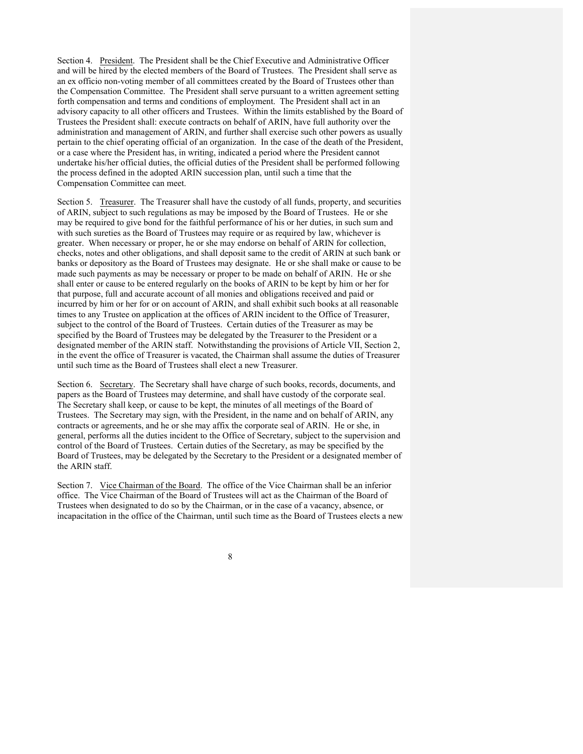Section 4. President. The President shall be the Chief Executive and Administrative Officer and will be hired by the elected members of the Board of Trustees. The President shall serve as an ex officio non-voting member of all committees created by the Board of Trustees other than the Compensation Committee. The President shall serve pursuant to a written agreement setting forth compensation and terms and conditions of employment. The President shall act in an advisory capacity to all other officers and Trustees. Within the limits established by the Board of Trustees the President shall: execute contracts on behalf of ARIN, have full authority over the administration and management of ARIN, and further shall exercise such other powers as usually pertain to the chief operating official of an organization. In the case of the death of the President, or a case where the President has, in writing, indicated a period where the President cannot undertake his/her official duties, the official duties of the President shall be performed following the process defined in the adopted ARIN succession plan, until such a time that the Compensation Committee can meet.

Section 5. Treasurer. The Treasurer shall have the custody of all funds, property, and securities of ARIN, subject to such regulations as may be imposed by the Board of Trustees. He or she may be required to give bond for the faithful performance of his or her duties, in such sum and with such sureties as the Board of Trustees may require or as required by law, whichever is greater. When necessary or proper, he or she may endorse on behalf of ARIN for collection, checks, notes and other obligations, and shall deposit same to the credit of ARIN at such bank or banks or depository as the Board of Trustees may designate. He or she shall make or cause to be made such payments as may be necessary or proper to be made on behalf of ARIN. He or she shall enter or cause to be entered regularly on the books of ARIN to be kept by him or her for that purpose, full and accurate account of all monies and obligations received and paid or incurred by him or her for or on account of ARIN, and shall exhibit such books at all reasonable times to any Trustee on application at the offices of ARIN incident to the Office of Treasurer, subject to the control of the Board of Trustees. Certain duties of the Treasurer as may be specified by the Board of Trustees may be delegated by the Treasurer to the President or a designated member of the ARIN staff. Notwithstanding the provisions of Article VII, Section 2, in the event the office of Treasurer is vacated, the Chairman shall assume the duties of Treasurer until such time as the Board of Trustees shall elect a new Treasurer.

Section 6. Secretary. The Secretary shall have charge of such books, records, documents, and papers as the Board of Trustees may determine, and shall have custody of the corporate seal. The Secretary shall keep, or cause to be kept, the minutes of all meetings of the Board of Trustees. The Secretary may sign, with the President, in the name and on behalf of ARIN, any contracts or agreements, and he or she may affix the corporate seal of ARIN. He or she, in general, performs all the duties incident to the Office of Secretary, subject to the supervision and control of the Board of Trustees. Certain duties of the Secretary, as may be specified by the Board of Trustees, may be delegated by the Secretary to the President or a designated member of the ARIN staff.

Section 7. Vice Chairman of the Board. The office of the Vice Chairman shall be an inferior office. The Vice Chairman of the Board of Trustees will act as the Chairman of the Board of Trustees when designated to do so by the Chairman, or in the case of a vacancy, absence, or incapacitation in the office of the Chairman, until such time as the Board of Trustees elects a new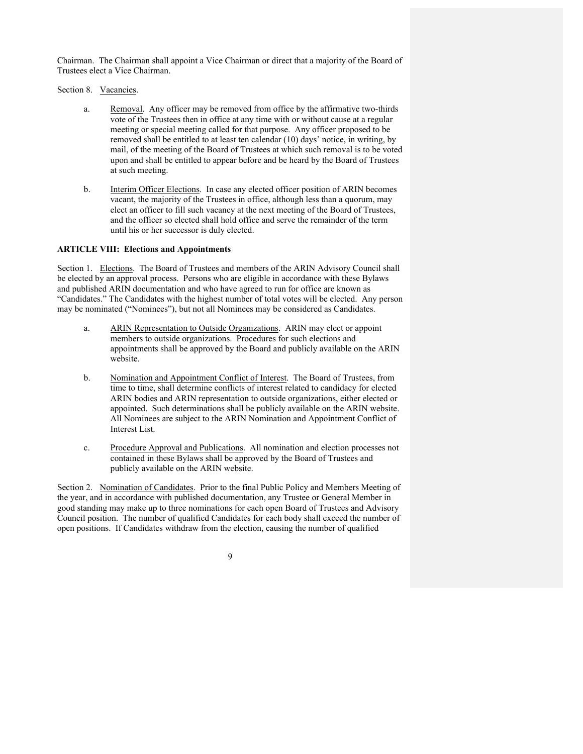Chairman. The Chairman shall appoint a Vice Chairman or direct that a majority of the Board of Trustees elect a Vice Chairman.

Section 8. Vacancies.

- a. Removal. Any officer may be removed from office by the affirmative two-thirds vote of the Trustees then in office at any time with or without cause at a regular meeting or special meeting called for that purpose. Any officer proposed to be removed shall be entitled to at least ten calendar (10) days' notice, in writing, by mail, of the meeting of the Board of Trustees at which such removal is to be voted upon and shall be entitled to appear before and be heard by the Board of Trustees at such meeting.
- b. Interim Officer Elections. In case any elected officer position of ARIN becomes vacant, the majority of the Trustees in office, although less than a quorum, may elect an officer to fill such vacancy at the next meeting of the Board of Trustees, and the officer so elected shall hold office and serve the remainder of the term until his or her successor is duly elected.

## **ARTICLE VIII: Elections and Appointments**

Section 1. Elections. The Board of Trustees and members of the ARIN Advisory Council shall be elected by an approval process. Persons who are eligible in accordance with these Bylaws and published ARIN documentation and who have agreed to run for office are known as "Candidates." The Candidates with the highest number of total votes will be elected. Any person may be nominated ("Nominees"), but not all Nominees may be considered as Candidates.

- a. ARIN Representation to Outside Organizations. ARIN may elect or appoint members to outside organizations. Procedures for such elections and appointments shall be approved by the Board and publicly available on the ARIN website.
- b. Nomination and Appointment Conflict of Interest. The Board of Trustees, from time to time, shall determine conflicts of interest related to candidacy for elected ARIN bodies and ARIN representation to outside organizations, either elected or appointed. Such determinations shall be publicly available on the ARIN website. All Nominees are subject to the ARIN Nomination and Appointment Conflict of Interest List.
- c. Procedure Approval and Publications. All nomination and election processes not contained in these Bylaws shall be approved by the Board of Trustees and publicly available on the ARIN website.

Section 2. Nomination of Candidates. Prior to the final Public Policy and Members Meeting of the year, and in accordance with published documentation, any Trustee or General Member in good standing may make up to three nominations for each open Board of Trustees and Advisory Council position. The number of qualified Candidates for each body shall exceed the number of open positions. If Candidates withdraw from the election, causing the number of qualified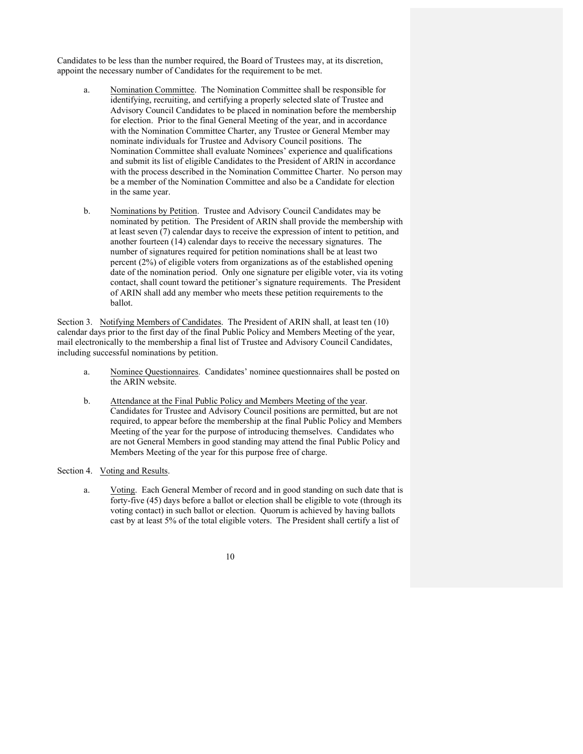Candidates to be less than the number required, the Board of Trustees may, at its discretion, appoint the necessary number of Candidates for the requirement to be met.

- a. Nomination Committee. The Nomination Committee shall be responsible for identifying, recruiting, and certifying a properly selected slate of Trustee and Advisory Council Candidates to be placed in nomination before the membership for election. Prior to the final General Meeting of the year, and in accordance with the Nomination Committee Charter, any Trustee or General Member may nominate individuals for Trustee and Advisory Council positions. The Nomination Committee shall evaluate Nominees' experience and qualifications and submit its list of eligible Candidates to the President of ARIN in accordance with the process described in the Nomination Committee Charter. No person may be a member of the Nomination Committee and also be a Candidate for election in the same year.
- b. Nominations by Petition. Trustee and Advisory Council Candidates may be nominated by petition. The President of ARIN shall provide the membership with at least seven (7) calendar days to receive the expression of intent to petition, and another fourteen (14) calendar days to receive the necessary signatures. The number of signatures required for petition nominations shall be at least two percent (2%) of eligible voters from organizations as of the established opening date of the nomination period. Only one signature per eligible voter, via its voting contact, shall count toward the petitioner's signature requirements. The President of ARIN shall add any member who meets these petition requirements to the ballot.

Section 3. Notifying Members of Candidates. The President of ARIN shall, at least ten (10) calendar days prior to the first day of the final Public Policy and Members Meeting of the year, mail electronically to the membership a final list of Trustee and Advisory Council Candidates, including successful nominations by petition.

- a. Nominee Questionnaires. Candidates' nominee questionnaires shall be posted on the ARIN website.
- b. Attendance at the Final Public Policy and Members Meeting of the year. Candidates for Trustee and Advisory Council positions are permitted, but are not required, to appear before the membership at the final Public Policy and Members Meeting of the year for the purpose of introducing themselves. Candidates who are not General Members in good standing may attend the final Public Policy and Members Meeting of the year for this purpose free of charge.
- Section 4. Voting and Results.
	- a. Voting. Each General Member of record and in good standing on such date that is forty-five (45) days before a ballot or election shall be eligible to vote (through its voting contact) in such ballot or election. Quorum is achieved by having ballots cast by at least 5% of the total eligible voters. The President shall certify a list of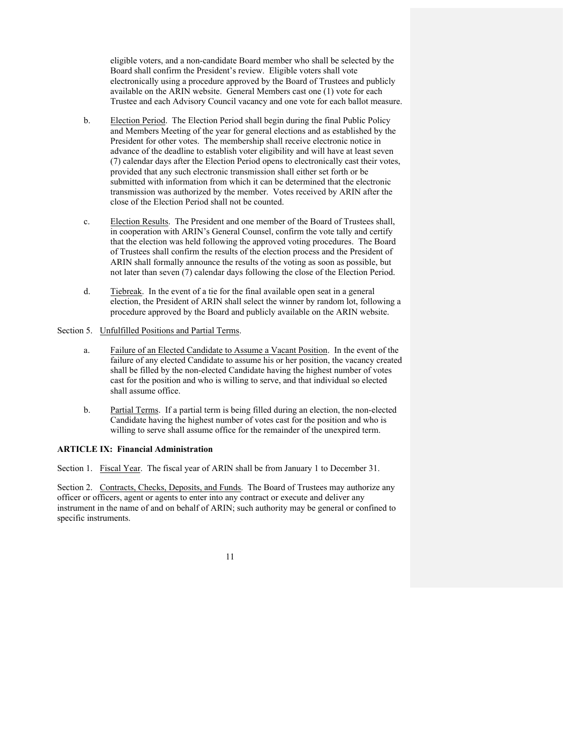eligible voters, and a non-candidate Board member who shall be selected by the Board shall confirm the President's review. Eligible voters shall vote electronically using a procedure approved by the Board of Trustees and publicly available on the ARIN website. General Members cast one (1) vote for each Trustee and each Advisory Council vacancy and one vote for each ballot measure.

- b. Election Period. The Election Period shall begin during the final Public Policy and Members Meeting of the year for general elections and as established by the President for other votes. The membership shall receive electronic notice in advance of the deadline to establish voter eligibility and will have at least seven (7) calendar days after the Election Period opens to electronically cast their votes, provided that any such electronic transmission shall either set forth or be submitted with information from which it can be determined that the electronic transmission was authorized by the member. Votes received by ARIN after the close of the Election Period shall not be counted.
- c. Election Results. The President and one member of the Board of Trustees shall, in cooperation with ARIN's General Counsel, confirm the vote tally and certify that the election was held following the approved voting procedures. The Board of Trustees shall confirm the results of the election process and the President of ARIN shall formally announce the results of the voting as soon as possible, but not later than seven (7) calendar days following the close of the Election Period.
- d. Tiebreak. In the event of a tie for the final available open seat in a general election, the President of ARIN shall select the winner by random lot, following a procedure approved by the Board and publicly available on the ARIN website.

## Section 5. Unfulfilled Positions and Partial Terms.

- a. Failure of an Elected Candidate to Assume a Vacant Position. In the event of the failure of any elected Candidate to assume his or her position, the vacancy created shall be filled by the non-elected Candidate having the highest number of votes cast for the position and who is willing to serve, and that individual so elected shall assume office.
- b. Partial Terms. If a partial term is being filled during an election, the non-elected Candidate having the highest number of votes cast for the position and who is willing to serve shall assume office for the remainder of the unexpired term.

### **ARTICLE IX: Financial Administration**

Section 1. Fiscal Year. The fiscal year of ARIN shall be from January 1 to December 31.

Section 2. Contracts, Checks, Deposits, and Funds. The Board of Trustees may authorize any officer or officers, agent or agents to enter into any contract or execute and deliver any instrument in the name of and on behalf of ARIN; such authority may be general or confined to specific instruments.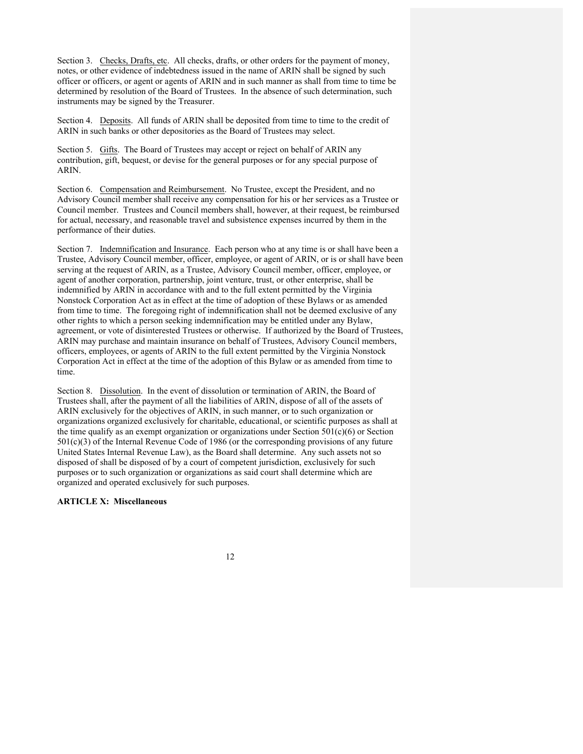Section 3. Checks, Drafts, etc. All checks, drafts, or other orders for the payment of money, notes, or other evidence of indebtedness issued in the name of ARIN shall be signed by such officer or officers, or agent or agents of ARIN and in such manner as shall from time to time be determined by resolution of the Board of Trustees. In the absence of such determination, such instruments may be signed by the Treasurer.

Section 4. Deposits. All funds of ARIN shall be deposited from time to time to the credit of ARIN in such banks or other depositories as the Board of Trustees may select.

Section 5. Gifts. The Board of Trustees may accept or reject on behalf of ARIN any contribution, gift, bequest, or devise for the general purposes or for any special purpose of ARIN.

Section 6. Compensation and Reimbursement. No Trustee, except the President, and no Advisory Council member shall receive any compensation for his or her services as a Trustee or Council member. Trustees and Council members shall, however, at their request, be reimbursed for actual, necessary, and reasonable travel and subsistence expenses incurred by them in the performance of their duties.

Section 7. Indemnification and Insurance. Each person who at any time is or shall have been a Trustee, Advisory Council member, officer, employee, or agent of ARIN, or is or shall have been serving at the request of ARIN, as a Trustee, Advisory Council member, officer, employee, or agent of another corporation, partnership, joint venture, trust, or other enterprise, shall be indemnified by ARIN in accordance with and to the full extent permitted by the Virginia Nonstock Corporation Act as in effect at the time of adoption of these Bylaws or as amended from time to time. The foregoing right of indemnification shall not be deemed exclusive of any other rights to which a person seeking indemnification may be entitled under any Bylaw, agreement, or vote of disinterested Trustees or otherwise. If authorized by the Board of Trustees, ARIN may purchase and maintain insurance on behalf of Trustees, Advisory Council members, officers, employees, or agents of ARIN to the full extent permitted by the Virginia Nonstock Corporation Act in effect at the time of the adoption of this Bylaw or as amended from time to time.

Section 8. Dissolution. In the event of dissolution or termination of ARIN, the Board of Trustees shall, after the payment of all the liabilities of ARIN, dispose of all of the assets of ARIN exclusively for the objectives of ARIN, in such manner, or to such organization or organizations organized exclusively for charitable, educational, or scientific purposes as shall at the time qualify as an exempt organization or organizations under Section  $501(c)(6)$  or Section 501(c)(3) of the Internal Revenue Code of 1986 (or the corresponding provisions of any future United States Internal Revenue Law), as the Board shall determine. Any such assets not so disposed of shall be disposed of by a court of competent jurisdiction, exclusively for such purposes or to such organization or organizations as said court shall determine which are organized and operated exclusively for such purposes.

# **ARTICLE X: Miscellaneous**

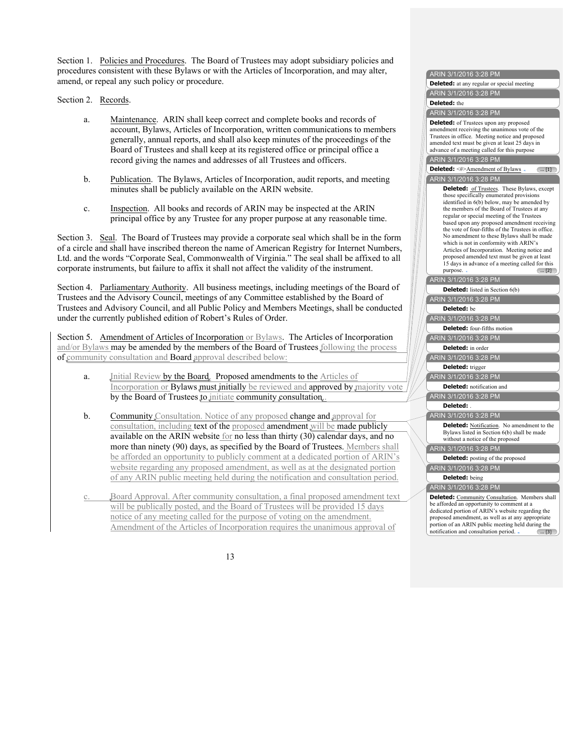Section 1. Policies and Procedures. The Board of Trustees may adopt subsidiary policies and procedures consistent with these Bylaws or with the Articles of Incorporation, and may alter, amend, or repeal any such policy or procedure.

Section 2. Records.

- a. Maintenance. ARIN shall keep correct and complete books and records of account, Bylaws, Articles of Incorporation, written communications to members generally, annual reports, and shall also keep minutes of the proceedings of the Board of Trustees and shall keep at its registered office or principal office a record giving the names and addresses of all Trustees and officers.
- b. Publication. The Bylaws, Articles of Incorporation, audit reports, and meeting minutes shall be publicly available on the ARIN website.
- c. Inspection. All books and records of ARIN may be inspected at the ARIN principal office by any Trustee for any proper purpose at any reasonable time.

Section 3. Seal. The Board of Trustees may provide a corporate seal which shall be in the form of a circle and shall have inscribed thereon the name of American Registry for Internet Numbers, Ltd. and the words "Corporate Seal, Commonwealth of Virginia." The seal shall be affixed to all corporate instruments, but failure to affix it shall not affect the validity of the instrument.

Section 4. Parliamentary Authority. All business meetings, including meetings of the Board of Trustees and the Advisory Council, meetings of any Committee established by the Board of Trustees and Advisory Council, and all Public Policy and Members Meetings, shall be conducted under the currently published edition of Robert's Rules of Order.

Section 5. Amendment of Articles of Incorporation or Bylaws. The Articles of Incorporation and/or Bylaws may be amended by the members of the Board of Trustees following the process of community consultation and **Board** approval described below:

- a. Initial Review by the Board. Proposed amendments to the Articles of Incorporation or Bylaws must initially be reviewed and approved by majority vote by the Board of Trustees to initiate community consultation.
- b. Community Consultation. Notice of any proposed change and approval for consultation, including text of the proposed amendment will be made publicly available on the ARIN website for no less than thirty (30) calendar days, and no more than ninety (90) days, as specified by the Board of Trustees. Members shall be afforded an opportunity to publicly comment at a dedicated portion of ARIN's website regarding any proposed amendment, as well as at the designated portion of any ARIN public meeting held during the notification and consultation period.
- Board Approval. After community consultation, a final proposed amendment text will be publically posted, and the Board of Trustees will be provided 15 days notice of any meeting called for the purpose of voting on the amendment. Amendment of the Articles of Incorporation requires the unanimous approval of

| ARIN 3/1/2016 3:28 PM                                                                            |
|--------------------------------------------------------------------------------------------------|
| <b>Deleted:</b> at any regular or special meeting                                                |
| ARIN 3/1/2016 3:28 PM                                                                            |
| Deleted: the                                                                                     |
| ARIN 3/1/2016 3:28 PM                                                                            |
| <b>Deleted:</b> of Trustees upon any proposed                                                    |
| amendment receiving the unanimous vote of the                                                    |
| Trustees in office. Meeting notice and proposed                                                  |
| amended text must be given at least 25 days in<br>advance of a meeting called for this purpose   |
| ARIN 3/1/2016 3:28 PM                                                                            |
|                                                                                                  |
| Deleted: <#>Amendment of Bylaws.<br>$\left( \dots [1] \right)$                                   |
| ARIN 3/1/2016 3:28 PM                                                                            |
| <b>Deleted:</b> of Trustees. These Bylaws, except                                                |
| those specifically enumerated provisions                                                         |
| identified in 6(b) below, may be amended by<br>the members of the Board of Trustees at any       |
| regular or special meeting of the Trustees                                                       |
| based upon any proposed amendment receiving                                                      |
| the vote of four-fifths of the Trustees in office.<br>No amendment to these Bylaws shall be made |
|                                                                                                  |
| which is not in conformity with ARIN's<br>Articles of Incorporation. Meeting notice and          |
| proposed amended text must be given at least                                                     |
| 15 days in advance of a meeting called for this                                                  |
| purpose.<br>$\left( \dots \left[ 2 \right] \right)$                                              |
| ARIN 3/1/2016 3:28 PM                                                                            |
| <b>Deleted:</b> listed in Section 6(b)                                                           |
| ARIN 3/1/2016 3:28 PM                                                                            |
| Deleted: be                                                                                      |
| ARIN 3/1/2016 3:28 PM                                                                            |
| Deleted: four-fifths motion                                                                      |
| ARIN 3/1/2016 3:28 PM                                                                            |
| Deleted: in order                                                                                |
| ARIN 3/1/2016 3:28 PM                                                                            |
| Deleted: trigger                                                                                 |
| ARIN 3/1/2016 3:28 PM                                                                            |
| Deleted: notification and                                                                        |
| ARIN 3/1/2016 3:28 PM                                                                            |
| Deleted:                                                                                         |
|                                                                                                  |
| ARIN 3/1/2016 3:28 PM                                                                            |
| <b>Deleted:</b> Notification. No amendment to the<br>Bylaws listed in Section 6(b) shall be made |
| without a notice of the proposed                                                                 |
| ARIN 3/1/2016 3:28 PM                                                                            |
| <b>Deleted:</b> posting of the proposed                                                          |
|                                                                                                  |
| ARIN 3/1/2016 3:28 PM                                                                            |
| Deleted: being                                                                                   |
| ARIN 3/1/2016 3:28 PM                                                                            |
| Deleted: Community Consultation. Members shall                                                   |
| be afforded an opportunity to comment at a<br>dedicated portion of ARIN's website regarding the  |
| proposed amendment, as well as at any appropriate                                                |
| portion of an ARIN public meeting held during the                                                |
| notification and consultation period<br>(  [3]                                                   |